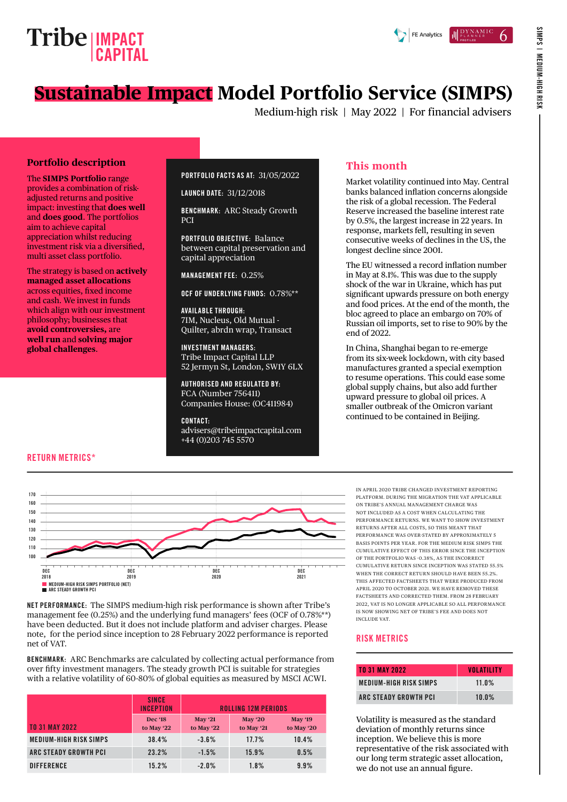



Medium-high risk | May 2022 | For financial advisers

#### **Portfolio description**

The **SIMPS Portfolio** range provides a combination of riskadjusted returns and positive impact: investing that **does well** and **does good**. The portfolios aim to achieve capital appreciation whilst reducing investment risk via a diversified, multi asset class portfolio.

The strategy is based on **actively managed asset allocations** across equities, fixed income and cash. We invest in funds which align with our investment philosophy; businesses that **avoid controversies,** are **well run** and **solving major global challenges**.

#### PORTFOLIO FACTS AS AT: 31/05/2022

LAUNCH DATE: 31/12/2018

BENCHMARK: ARC Steady Growth PCI

PORTFOLIO OBJECTIVE: Balance between capital preservation and capital appreciation

MANAGEMENT FEE: 0.25%

OCF OF UNDERLYING FUNDS: 0.78%\*\*

AVAILABLE THROUGH: 7IM, Nucleus, Old Mutual - Quilter, abrdn wrap, Transact

INVESTMENT MANAGERS: Tribe Impact Capital LLP 52 Jermyn St, London, SW1Y 6LX

AUTHORISED AND REGULATED BY: FCA (Number 756411) Companies House: (OC411984)

CONTACT: [advisers@tribeimpactcapital.com](mailto:advisers%40tribeimpactcapital.com?subject=) +44 (0)203 745 5570

# **This month**

Market volatility continued into May. Central banks balanced inflation concerns alongside the risk of a global recession. The Federal Reserve increased the baseline interest rate by 0.5%, the largest increase in 22 years. In response, markets fell, resulting in seven consecutive weeks of declines in the US, the longest decline since 2001.

The EU witnessed a record inflation number in May at 8.1%. This was due to the supply shock of the war in Ukraine, which has put significant upwards pressure on both energy and food prices. At the end of the month, the bloc agreed to place an embargo on 70% of Russian oil imports, set to rise to 90% by the end of 2022.

In China, Shanghai began to re-emerge from its six-week lockdown, with city based manufactures granted a special exemption to resume operations. This could ease some global supply chains, but also add further upward pressure to global oil prices. A smaller outbreak of the Omicron variant continued to be contained in Beijing.

#### RETURN METRICS\*



NET PERFORMANCE: The SIMPS medium-high risk performance is shown after Tribe's management fee (0.25%) and the underlying fund managers' fees (OCF of 0.78%\*\*) have been deducted. But it does not include platform and adviser charges. Please note, for the period since inception to 28 February 2022 performance is reported net of VAT.

BENCHMARK: ARC Benchmarks are calculated by collecting actual performance from over fifty investment managers. The steady growth PCI is suitable for strategies with a relative volatility of 60-80% of global equities as measured by MSCI ACWI.

|                               | <b>SINCE</b><br><b>INCEPTION</b> | <b>ROLLING 12M PERIODS</b>   |                        |                              |
|-------------------------------|----------------------------------|------------------------------|------------------------|------------------------------|
| <b>TO 31 MAY 2022</b>         | <b>Dec '18</b><br>to May '22     | <b>May '21</b><br>to May '22 | May $20$<br>to May '21 | <b>May '19</b><br>to May '20 |
| <b>MEDIUM-HIGH RISK SIMPS</b> | 38.4%                            | $-3.6%$                      | 17.7%                  | 10.4%                        |
| ARC STEADY GROWTH PCI         | 23.2%                            | $-1.5%$                      | 15.9%                  | 0.5%                         |
| <b>DIFFERENCE</b>             | 15.2%                            | $-2.0%$                      | 1.8%                   | 9.9%                         |

IN APRIL 2020 TRIBE CHANGED INVESTMENT REPORTING PLATFORM. DURING THE MIGRATION THE VAT APPLICABLE ON TRIBE'S ANNUAL MANAGEMENT CHARGE WAS NOT INCLUDED AS A COST WHEN CALCULATING THE PERFORMANCE RETURNS. WE WANT TO SHOW INVESTMENT RETURNS AFTER ALL COSTS, SO THIS MEANT THAT PERFORMANCE WAS OVER-STATED BY APPROXIMATELY 5 BASIS POINTS PER YEAR. FOR THE MEDIUM RISK SIMPS THE CUMULATIVE EFFECT OF THIS ERROR SINCE THE INCEPTION OF THE PORTFOLIO WAS -0.38%, AS THE INCORRECT CUMULATIVE RETURN SINCE INCEPTION WAS STATED 55.5% WHEN THE CORRECT RETURN SHOULD HAVE BEEN 55.2%. THIS AFFECTED FACTSHEETS THAT WERE PRODUCED FROM APRIL 2020 TO OCTOBER 2021. WE HAVE REMOVED THESE FACTSHEETS AND CORRECTED THEM. FROM 28 FEBRUARY 2022, VAT IS NO LONGER APPLICABLE SO ALL PERFORMANCE IS NOW SHOWING NET OF TRIBE'S FEE AND DOES NOT INCLUDE VAT.

#### RISK METRICS

| <b>TO 31 MAY 2022</b>         | <b>VOLATILITY</b> |
|-------------------------------|-------------------|
| <b>MEDIUM-HIGH RISK SIMPS</b> | $11.0\%$          |
| ARC STEADY GROWTH PCI         | $10.0\%$          |

Volatility is measured as the standard deviation of monthly returns since inception. We believe this is more representative of the risk associated with our long term strategic asset allocation, we do not use an annual figure.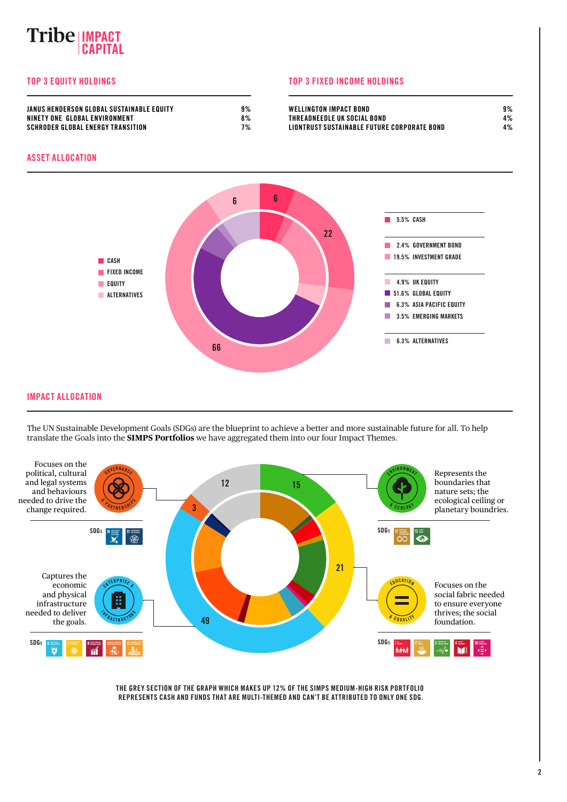# **IMPACT CAPITAL**

#### TOP 3 EQUITY HOLDINGS TOP 3 FIXED INCOME HOLDINGS

| JANUS HENDERSON GLOBAL SUSTAINABLE EQUITY | 9% | <b>WELLINGTON IMPACT BOND</b>               | 9% |
|-------------------------------------------|----|---------------------------------------------|----|
| NINETY ONE GLOBAL ENVIRONMENT             | 8% | THREADNEEDLE UK SOCIAL BOND                 | 4% |
| SCHRODER GLOBAL ENERGY TRANSITION         | 7% | LIONTRUST SUSTAINABLE FUTURE CORPORATE BOND | 4% |

#### ASSET ALLOCATION



#### IMPACT ALLOCATION

The UN Sustainable Development Goals (SDGs) are the blueprint to achieve a better and more sustainable future for all. To help translate the Goals into the **SIMPS Portfolios** we have aggregated them into our four Impact Themes.



THE GREY SECTION OF THE GRAPH WHICH MAKES UP 12% OF THE SIMPS MEDIUM-HIGH RISK PORTFOLIO REPRESENTS CASH AND FUNDS THAT ARE MULTI-THEMED AND CAN'T BE ATTRIBUTED TO ONLY ONE SDG.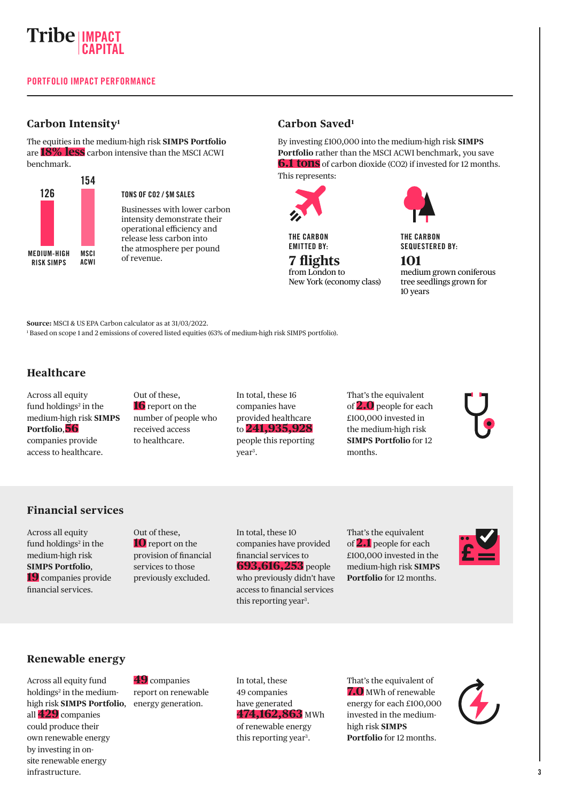

# **Carbon Intensity1**

The equities in the medium-high risk **SIMPS Portfolio**  are **18% less** carbon intensive than the MSCI ACWI benchmark.



### TONS OF CO2 / \$M SALES

Businesses with lower carbon intensity demonstrate their operational efficiency and release less carbon into the atmosphere per pound of revenue.

# **Carbon Saved1**

By investing £100,000 into the medium-high risk **SIMPS Portfolio** rather than the MSCI ACWI benchmark, you save **6.1 tons** of carbon dioxide (CO2) if invested for 12 months. This represents: 154



THE CARBON EMITTED BY:

#### **7 flights** from London to New York (economy class)

THE CARBON SEQUESTERED BY:

#### **101**

medium grown coniferous tree seedlings grown for 10 years

**Source:** MSCI & US EPA Carbon calculator as at 31/03/2022.

1 Based on scope 1 and 2 emissions of covered listed equities (63% of medium-high risk SIMPS portfolio).

# **Healthcare**

Across all equity fund holdings<sup>2</sup> in the medium-high risk **SIMPS Portfolio**,**56** companies provide access to healthcare.

Out of these, **16** report on the number of people who received access to healthcare.

In total, these 16 companies have provided healthcare to **241,935,928** people this reporting year<sup>3</sup>.

That's the equivalent of **2.0** people for each £100,000 invested in the medium-high risk **SIMPS Portfolio** for 12 months.

# **Financial services**

Across all equity fund holdings<sup>2</sup> in the medium-high risk **SIMPS Portfolio**, **19** companies provide financial services.

Out of these, **10** report on the provision of financial services to those previously excluded.

In total, these 10 companies have provided financial services to **693,616,253** people who previously didn't have access to financial services this reporting year<sup>3</sup>.

That's the equivalent of **2.1** people for each £100,000 invested in the medium-high risk **SIMPS Portfolio** for 12 months.



# **Renewable energy**

Across all equity fund holdings<sup>2</sup> in the mediumhigh risk **SIMPS Portfolio**, all **429** companies could produce their own renewable energy by investing in onsite renewable energy infrastructure.

**49** companies report on renewable energy generation.

In total, these 49 companies have generated **474,162,863** MWh of renewable energy this reporting year<sup>3</sup>.

That's the equivalent of **7.0** MWh of renewable energy for each £100,000 invested in the mediumhigh risk **SIMPS Portfolio** for 12 months.